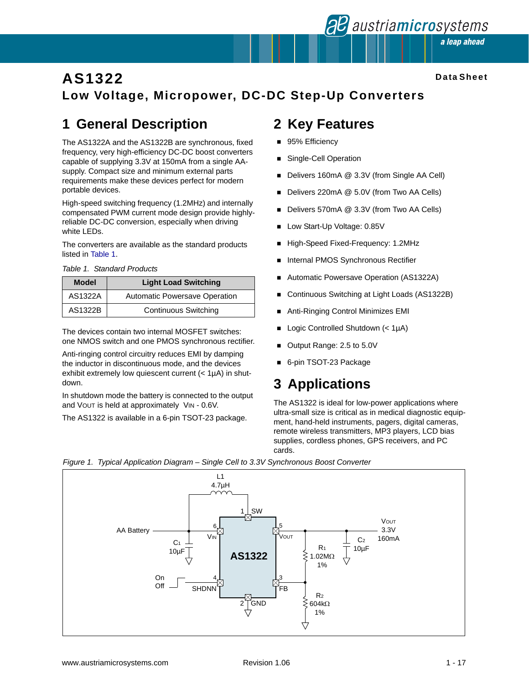## **AS1322 Low Voltage, Micropower, DC-DC Step-Up Converters**

# **1 General Description**

The AS1322A and the AS1322B are synchronous, fixed frequency, very high-efficiency DC-DC boost converters capable of supplying 3.3V at 150mA from a single AAsupply. Compact size and minimum external parts requirements make these devices perfect for modern portable devices.

High-speed switching frequency (1.2MHz) and internally compensated PWM current mode design provide highlyreliable DC-DC conversion, especially when driving white LEDs.

The converters are available as the standard products listed in [Table 1.](#page-0-0)

<span id="page-0-0"></span>*Table 1. Standard Products*

| <b>Model</b> | <b>Light Load Switching</b>          |  |  |  |
|--------------|--------------------------------------|--|--|--|
| AS1322A      | <b>Automatic Powersave Operation</b> |  |  |  |
| AS1322B      | <b>Continuous Switching</b>          |  |  |  |

The devices contain two internal MOSFET switches: one NMOS switch and one PMOS synchronous rectifier.

Anti-ringing control circuitry reduces EMI by damping the inductor in discontinuous mode, and the devices exhibit extremely low quiescent current (< 1µA) in shutdown.

In shutdown mode the battery is connected to the output and VOUT is held at approximately VIN - 0.6V.

The AS1322 is available in a 6-pin TSOT-23 package.

## **2 Key Features**

- 95% Efficiency
- **Burgangle-Cell Operation**
- Delivers 160mA @ 3.3V (from Single AA Cell)
- Delivers 220mA @ 5.0V (from Two AA Cells)
- Delivers 570mA @ 3.3V (from Two AA Cells)
- **Low Start-Up Voltage: 0.85V**
- High-Speed Fixed-Frequency: 1.2MHz
- **Internal PMOS Synchronous Rectifier**
- Automatic Powersave Operation (AS1322A)
- ! Continuous Switching at Light Loads (AS1322B)
- ! Anti-Ringing Control Minimizes EMI
- ! Logic Controlled Shutdown (< 1µA)
- Output Range: 2.5 to 5.0V
- 6-pin TSOT-23 Package

## **3 Applications**

The AS1322 is ideal for low-power applications where ultra-small size is critical as in medical diagnostic equipment, hand-held instruments, pagers, digital cameras, remote wireless transmitters, MP3 players, LCD bias supplies, cordless phones, GPS receivers, and PC cards.



#### <span id="page-0-1"></span>*Figure 1. Typical Application Diagram – Single Cell to 3.3V Synchronous Boost Converter*

**al austriamicrosystems** a leap ahead

**Data Sheet**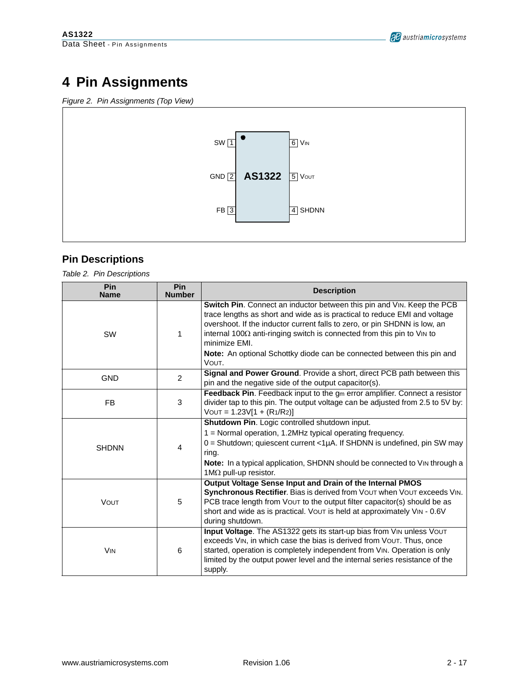# **4 Pin Assignments**

*Figure 2. Pin Assignments (Top View)*



### **Pin Descriptions**

*Table 2. Pin Descriptions*

| Pin<br><b>Name</b>    | Pin<br><b>Number</b> | <b>Description</b>                                                                                                                                                                                                                                                                                                                                                                                            |
|-----------------------|----------------------|---------------------------------------------------------------------------------------------------------------------------------------------------------------------------------------------------------------------------------------------------------------------------------------------------------------------------------------------------------------------------------------------------------------|
| SW                    | 1                    | Switch Pin. Connect an inductor between this pin and VIN. Keep the PCB<br>trace lengths as short and wide as is practical to reduce EMI and voltage<br>overshoot. If the inductor current falls to zero, or pin SHDNN is low, an<br>internal 100 $\Omega$ anti-ringing switch is connected from this pin to VIN to<br>minimize EMI.<br>Note: An optional Schottky diode can be connected between this pin and |
|                       |                      | VOUT.                                                                                                                                                                                                                                                                                                                                                                                                         |
| <b>GND</b>            | $\overline{2}$       | Signal and Power Ground. Provide a short, direct PCB path between this<br>pin and the negative side of the output capacitor(s).                                                                                                                                                                                                                                                                               |
| <b>FB</b>             | 3                    | Feedback Pin. Feedback input to the gm error amplifier. Connect a resistor<br>divider tap to this pin. The output voltage can be adjusted from 2.5 to 5V by:<br>$VOUT = 1.23V[1 + (R1/R2)]$                                                                                                                                                                                                                   |
| <b>SHDNN</b>          | 4                    | Shutdown Pin. Logic controlled shutdown input.<br>1 = Normal operation, 1.2MHz typical operating frequency.<br>0 = Shutdown; quiescent current <1µA. If SHDNN is undefined, pin SW may<br>ring.<br>Note: In a typical application, SHDNN should be connected to VIN through a<br>$1M\Omega$ pull-up resistor.                                                                                                 |
| <b>VOUT</b>           | 5                    | Output Voltage Sense Input and Drain of the Internal PMOS<br>Synchronous Rectifier. Bias is derived from VOUT when VOUT exceeds VIN.<br>PCB trace length from Vout to the output filter capacitor(s) should be as<br>short and wide as is practical. VOUT is held at approximately VIN - 0.6V<br>during shutdown.                                                                                             |
| <b>V<sub>IN</sub></b> | 6                    | Input Voltage. The AS1322 gets its start-up bias from VIN unless VOUT<br>exceeds VIN, in which case the bias is derived from VOUT. Thus, once<br>started, operation is completely independent from VIN. Operation is only<br>limited by the output power level and the internal series resistance of the<br>supply.                                                                                           |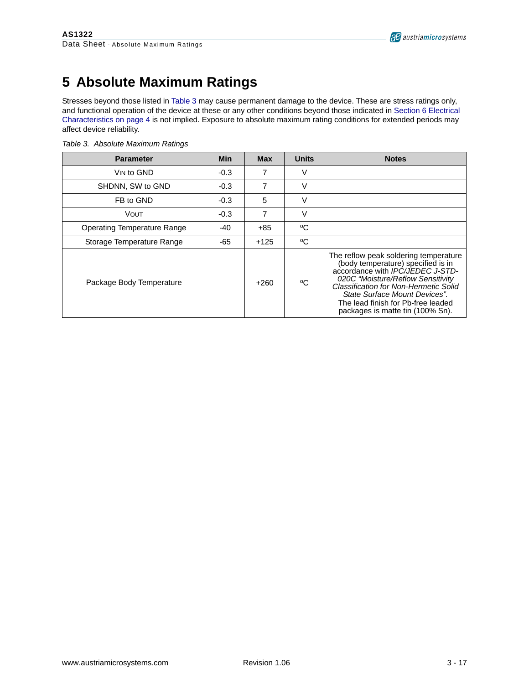# **5 Absolute Maximum Ratings**

Stresses beyond those listed in [Table 3](#page-2-0) may cause permanent damage to the device. These are stress ratings only, and functional operation of the device at these or any other conditions beyond those indicated in [Section 6 Electrical](#page-3-0)  [Characteristics on page 4](#page-3-0) is not implied. Exposure to absolute maximum rating conditions for extended periods may affect device reliability.

| <b>Parameter</b>            | <b>Min</b> | <b>Max</b> | <b>Units</b> | <b>Notes</b>                                                                                                                                                                                                                                                                                             |
|-----------------------------|------------|------------|--------------|----------------------------------------------------------------------------------------------------------------------------------------------------------------------------------------------------------------------------------------------------------------------------------------------------------|
| VIN to GND                  | $-0.3$     | 7          |              |                                                                                                                                                                                                                                                                                                          |
| SHDNN, SW to GND            | $-0.3$     | 7          |              |                                                                                                                                                                                                                                                                                                          |
| FB to GND                   | $-0.3$     | 5          |              |                                                                                                                                                                                                                                                                                                          |
| VOUT                        | $-0.3$     | 7          | v            |                                                                                                                                                                                                                                                                                                          |
| Operating Temperature Range | $-40$      | +85        | °C           |                                                                                                                                                                                                                                                                                                          |
| Storage Temperature Range   | -65        | $+125$     | °C           |                                                                                                                                                                                                                                                                                                          |
| Package Body Temperature    |            | $+260$     | °C           | The reflow peak soldering temperature<br>(body temperature) specified is in<br>accordance with IPC/JEDEC J-STD-<br>020C "Moisture/Reflow Sensitivity<br>Classification for Non-Hermetic Solid<br>State Surface Mount Devices".<br>The lead finish for Pb-free leaded<br>packages is matte tin (100% Sn). |

<span id="page-2-0"></span>*Table 3. Absolute Maximum Ratings*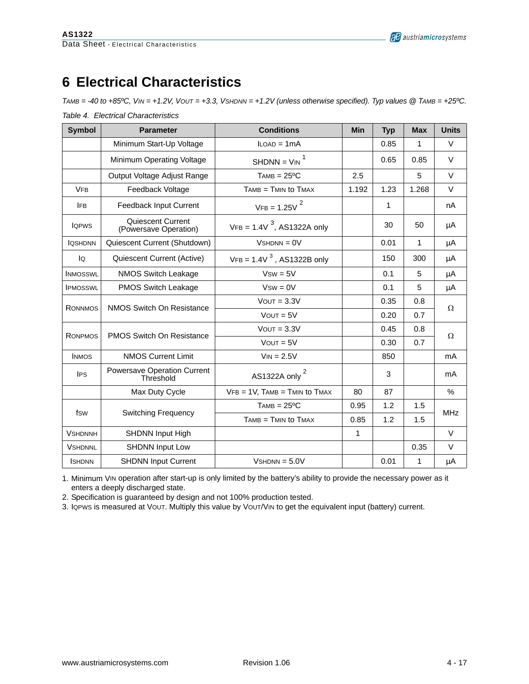# <span id="page-3-0"></span>**6 Electrical Characteristics**

*TAMB = -40 to +85ºC, VIN = +1.2V, VOUT = +3.3, VSHDNN = +1.2V (unless otherwise specified). Typ values @ TAMB = +25ºC.*

| <b>Symbol</b>   | <b>Parameter</b>                           | <b>Conditions</b>                    | <b>Min</b>   | <b>Typ</b>  | <b>Max</b>   | <b>Units</b>  |  |
|-----------------|--------------------------------------------|--------------------------------------|--------------|-------------|--------------|---------------|--|
|                 | Minimum Start-Up Voltage                   | $LOAD = 1mA$                         |              | 0.85        | 1            | V             |  |
|                 | Minimum Operating Voltage                  | $SHDNN = VIN$ <sup>1</sup>           |              | 0.65        | 0.85         | V             |  |
|                 | Output Voltage Adjust Range                | $TAMB = 25°C$                        | 2.5          |             | 5            | $\vee$        |  |
| <b>VFB</b>      | Feedback Voltage                           | $TAMB = TMIN$ to $TMAX$              | 1.192        | 1.23        | 1.268        | V             |  |
| <b>IFB</b>      | Feedback Input Current                     | $VFB = 1.25V2$                       |              | 1           |              | nA            |  |
| <b>IQPWS</b>    | Quiescent Current<br>(Powersave Operation) | $VFB = 1.4V^{3}$ , AS1322A only      |              | 30          | 50           | μA            |  |
| <b>IQSHDNN</b>  | Quiescent Current (Shutdown)               | $VshDNN = 0V$                        |              | 0.01        | $\mathbf{1}$ | μA            |  |
| lQ              | Quiescent Current (Active)                 | $VFB = 1.4V^{3}$ , AS1322B only      |              | 150         | 300          | μA            |  |
| <b>INMOSSWL</b> | <b>NMOS Switch Leakage</b>                 | $Vsw = 5V$                           |              | 0.1         | 5            | μA            |  |
| <b>IPMOSSWL</b> | PMOS Switch Leakage                        | $Vsw = 0V$                           |              | 0.1         | 5            | μA            |  |
| <b>RONNMOS</b>  | <b>NMOS Switch On Resistance</b>           | $V$ OUT = $3.3V$                     |              | 0.35<br>0.8 |              | Ω             |  |
|                 |                                            | $VOUT = 5V$                          |              | 0.20        | 0.7          |               |  |
| <b>RONPMOS</b>  | <b>PMOS Switch On Resistance</b>           | $V$ OUT = $3.3V$                     |              | 0.45        | 0.8          | Ω             |  |
|                 |                                            | $VOUT = 5V$                          |              | 0.30        | 0.7          |               |  |
| <b>INMOS</b>    | <b>NMOS Current Limit</b>                  | $V_{IN} = 2.5V$                      |              | 850         |              | mA            |  |
| <b>IPS</b>      | Powersave Operation Current<br>Threshold   | AS1322A only <sup>2</sup>            |              | 3           |              | mA            |  |
|                 | Max Duty Cycle                             | $VFB = 1V$ , $TAMB = TMIN$ to $TMAX$ | 80           | 87          |              | $\frac{0}{0}$ |  |
|                 |                                            | $TAMB = 25°C$                        | 0.95         | 1.2         | 1.5          |               |  |
| fsw             | <b>Switching Frequency</b>                 | $TAMB = TMIN$ to $TMAX$              | 0.85         | 1.2         | 1.5          | <b>MHz</b>    |  |
| <b>VSHDNNH</b>  | <b>SHDNN Input High</b>                    |                                      | $\mathbf{1}$ |             |              | $\vee$        |  |
| <b>VSHDNNL</b>  | <b>SHDNN Input Low</b>                     |                                      |              |             | 0.35         | V             |  |
| <b>ISHDNN</b>   | <b>SHDNN Input Current</b>                 | $VshDNN = 5.0V$                      |              | 0.01        | 1            | μA            |  |

*Table 4. Electrical Characteristics*

1. Minimum VIN operation after start-up is only limited by the battery's ability to provide the necessary power as it enters a deeply discharged state.

2. Specification is guaranteed by design and not 100% production tested.

3. IQPWS is measured at VOUT. Multiply this value by VOUT/VIN to get the equivalent input (battery) current.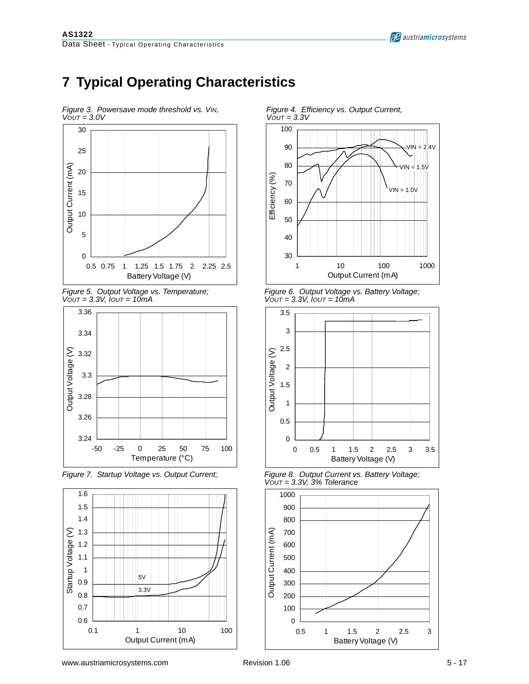

# **7 Typical Operating Characteristics**



*VOUT = 3.3V, IOUT = 10mA VOUT = 3.3V, IOUT = 10mA*



*Figure 7. Startup Voltage vs. Output Current; Figure 8. Output Current vs. Battery Voltage;*





*Figure 6. Output Voltage vs. Battery Voltage; Vout = 3.3V, Iout = 10mA* 



*VOUT = 3.3V, 3% Tolerance*



<span id="page-4-0"></span>*Figure 3. Powersave mode threshold vs. VIN,* Figure 4. Efficiency vs. Output Current, Vout = 3.3V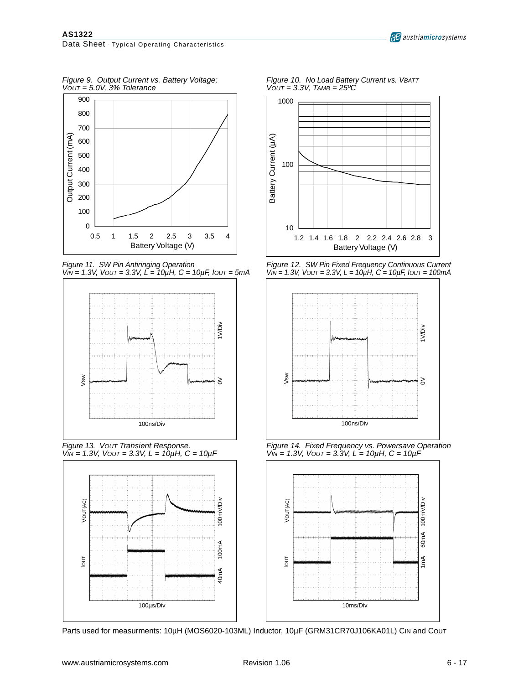*Figure 9. Output Current vs. Battery Voltage; Figure 10. No Load Battery Current vs. VBATT VOUT = 5.0V, 3% Tolerance VOUT = 3.3V, TAMB = 25ºC*



*Figure 11. SW Pin Antiringing Operation Figure 12. SW Pin Fixed Frequency Continuous Current*



*Figure 13. Vout Transient Response.*<br>*VIN = 1.3V, Vout = 3.3V, L = 10µH, C = 10µF* 



Parts used for measurments: 10µH (MOS6020-103ML) Inductor, 10µF (GRM31CR70J106KA01L) CIN and COUT



*VIN = 1.3V, VOUT = 3.3V, L = 10µH, C = 10µF, IOUT = 5mA VIN = 1.3V, VOUT = 3.3V, L = 10µH, C = 10µF, IOUT = 100mA*



*Figure 14. Fixed Frequency vs. Powersave Operation VIN = 1.3V, Vout = 3.3V, L = 10µH, C = 10µF* 

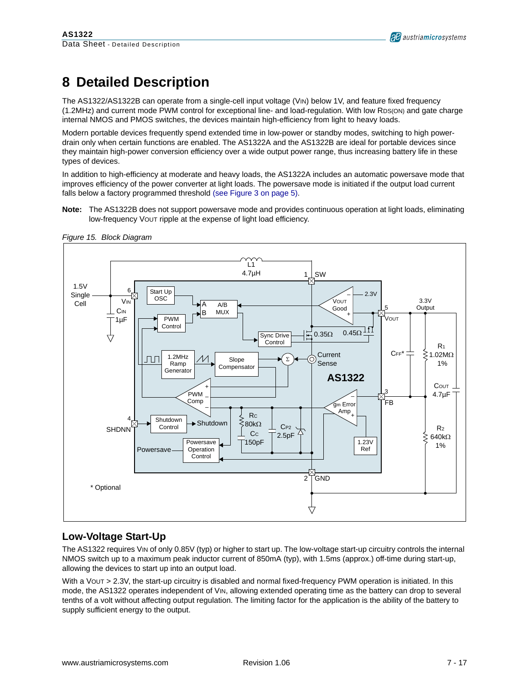# **8 Detailed Description**

The AS1322/AS1322B can operate from a single-cell input voltage (VIN) below 1V, and feature fixed frequency (1.2MHz) and current mode PWM control for exceptional line- and load-regulation. With low RDS(ON) and gate charge internal NMOS and PMOS switches, the devices maintain high-efficiency from light to heavy loads.

Modern portable devices frequently spend extended time in low-power or standby modes, switching to high powerdrain only when certain functions are enabled. The AS1322A and the AS1322B are ideal for portable devices since they maintain high-power conversion efficiency over a wide output power range, thus increasing battery life in these types of devices.

In addition to high-efficiency at moderate and heavy loads, the AS1322A includes an automatic powersave mode that improves efficiency of the power converter at light loads. The powersave mode is initiated if the output load current falls below a factory programmed threshold [\(see Figure 3 on page 5\).](#page-4-0)

**Note:** The AS1322B does not support powersave mode and provides continuous operation at light loads, eliminating low-frequency VOUT ripple at the expense of light load efficiency.



<span id="page-6-0"></span>*Figure 15. Block Diagram*

### **Low-Voltage Start-Up**

The AS1322 requires VIN of only 0.85V (typ) or higher to start up. The low-voltage start-up circuitry controls the internal NMOS switch up to a maximum peak inductor current of 850mA (typ), with 1.5ms (approx.) off-time during start-up, allowing the devices to start up into an output load.

With a VOUT > 2.3V, the start-up circuitry is disabled and normal fixed-frequency PWM operation is initiated. In this mode, the AS1322 operates independent of VIN, allowing extended operating time as the battery can drop to several tenths of a volt without affecting output regulation. The limiting factor for the application is the ability of the battery to supply sufficient energy to the output.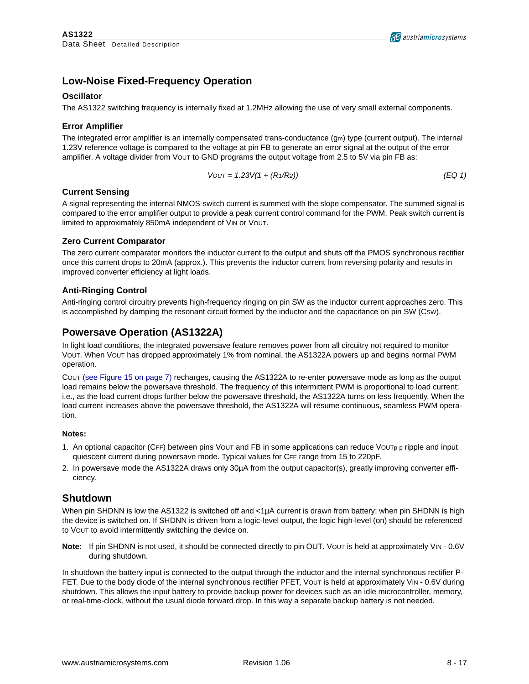### **Low-Noise Fixed-Frequency Operation**

#### **Oscillator**

The AS1322 switching frequency is internally fixed at 1.2MHz allowing the use of very small external components.

#### **Error Amplifier**

The integrated error amplifier is an internally compensated trans-conductance (gm) type (current output). The internal 1.23V reference voltage is compared to the voltage at pin FB to generate an error signal at the output of the error amplifier. A voltage divider from VOUT to GND programs the output voltage from 2.5 to 5V via pin FB as:

$$
VOUT = 1.23V(1 + (R1/R2))
$$
 (EQ1)

#### **Current Sensing**

A signal representing the internal NMOS-switch current is summed with the slope compensator. The summed signal is compared to the error amplifier output to provide a peak current control command for the PWM. Peak switch current is limited to approximately 850mA independent of VIN or VOUT.

#### **Zero Current Comparator**

The zero current comparator monitors the inductor current to the output and shuts off the PMOS synchronous rectifier once this current drops to 20mA (approx.). This prevents the inductor current from reversing polarity and results in improved converter efficiency at light loads.

#### **Anti-Ringing Control**

Anti-ringing control circuitry prevents high-frequency ringing on pin SW as the inductor current approaches zero. This is accomplished by damping the resonant circuit formed by the inductor and the capacitance on pin SW (CSW).

### **Powersave Operation (AS1322A)**

In light load conditions, the integrated powersave feature removes power from all circuitry not required to monitor VOUT. When VOUT has dropped approximately 1% from nominal, the AS1322A powers up and begins normal PWM operation.

COUT [\(see Figure 15 on page 7\)](#page-6-0) recharges, causing the AS1322A to re-enter powersave mode as long as the output load remains below the powersave threshold. The frequency of this intermittent PWM is proportional to load current; i.e., as the load current drops further below the powersave threshold, the AS1322A turns on less frequently. When the load current increases above the powersave threshold, the AS1322A will resume continuous, seamless PWM operation.

#### **Notes:**

- 1. An optional capacitor (CFF) between pins VOUT and FB in some applications can reduce VOUTp-p ripple and input quiescent current during powersave mode. Typical values for CFF range from 15 to 220pF.
- 2. In powersave mode the AS1322A draws only 30µA from the output capacitor(s), greatly improving converter efficiency.

### **Shutdown**

When pin SHDNN is low the AS1322 is switched off and <1µA current is drawn from battery; when pin SHDNN is high the device is switched on. If SHDNN is driven from a logic-level output, the logic high-level (on) should be referenced to VOUT to avoid intermittently switching the device on.

**Note:** If pin SHDNN is not used, it should be connected directly to pin OUT. VOUT is held at approximately VIN - 0.6V during shutdown.

In shutdown the battery input is connected to the output through the inductor and the internal synchronous rectifier P-FET. Due to the body diode of the internal synchronous rectifier PFET, VOUT is held at approximately VIN - 0.6V during shutdown. This allows the input battery to provide backup power for devices such as an idle microcontroller, memory, or real-time-clock, without the usual diode forward drop. In this way a separate backup battery is not needed.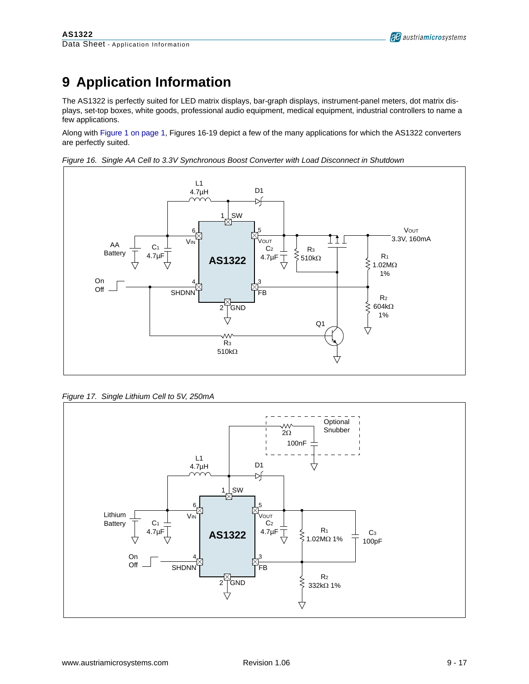# **9 Application Information**

The AS1322 is perfectly suited for LED matrix displays, bar-graph displays, instrument-panel meters, dot matrix displays, set-top boxes, white goods, professional audio equipment, medical equipment, industrial controllers to name a few applications.

Along with [Figure 1 on page 1](#page-0-1), Figures [16-](#page-8-0)[19](#page-9-0) depict a few of the many applications for which the AS1322 converters are perfectly suited.



<span id="page-8-0"></span>*Figure 16. Single AA Cell to 3.3V Synchronous Boost Converter with Load Disconnect in Shutdown* 

*Figure 17. Single Lithium Cell to 5V, 250mA*

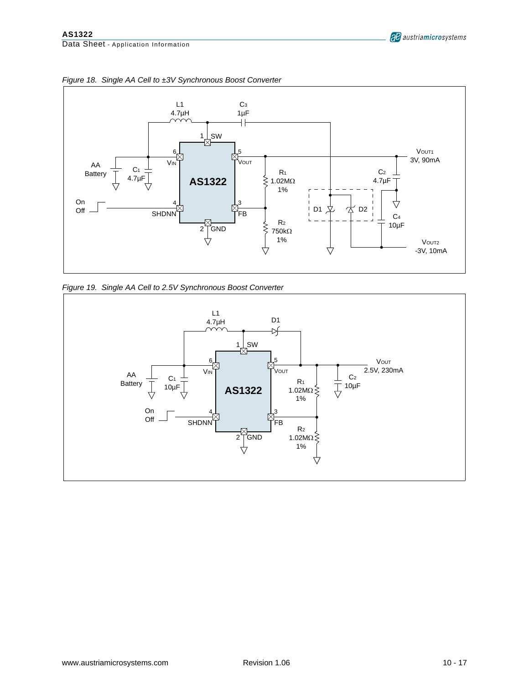

*Figure 18. Single AA Cell to ±3V Synchronous Boost Converter*

<span id="page-9-0"></span>

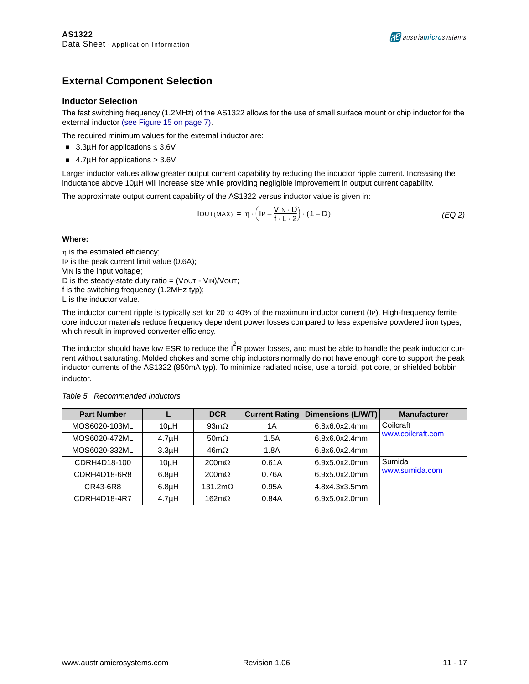### **External Component Selection**

#### **Inductor Selection**

The fast switching frequency (1.2MHz) of the AS1322 allows for the use of small surface mount or chip inductor for the external inductor [\(see Figure 15 on page 7\)](#page-6-0).

The required minimum values for the external inductor are:

- ! 3.3µH for applications ≤ 3.6V
- $\blacksquare$  4.7µH for applications > 3.6V

Larger inductor values allow greater output current capability by reducing the inductor ripple current. Increasing the inductance above 10µH will increase size while providing negligible improvement in output current capability.

The approximate output current capability of the AS1322 versus inductor value is given in:

$$
IOUT(MAX) = \eta \cdot \left( IP - \frac{VIN \cdot D}{f \cdot L \cdot 2} \right) \cdot (1 - D) \tag{EQ2}
$$

#### **Where:**

η is the estimated efficiency; IP is the peak current limit value (0.6A); VIN is the input voltage; D is the steady-state duty ratio =  $(VOUT - VIN)/VOUT;$ f is the switching frequency (1.2MHz typ); L is the inductor value.

The inductor current ripple is typically set for 20 to 40% of the maximum inductor current (IP). High-frequency ferrite core inductor materials reduce frequency dependent power losses compared to less expensive powdered iron types, which result in improved converter efficiency.

The inductor should have low ESR to reduce the  $I^2$ R power losses, and must be able to handle the peak inductor current without saturating. Molded chokes and some chip inductors normally do not have enough core to support the peak inductor currents of the AS1322 (850mA typ). To minimize radiated noise, use a toroid, pot core, or shielded bobbin inductor.

| <b>Part Number</b> |                    | <b>DCR</b>           | <b>Current Rating</b> | Dimensions (L/W/T) | <b>Manufacturer</b> |
|--------------------|--------------------|----------------------|-----------------------|--------------------|---------------------|
| MOS6020-103ML      | 10 <sub>µ</sub> H  | 93m $\Omega$         | 1 A                   | 6.8x6.0x2.4mm      | Coilcraft           |
| MOS6020-472ML      | 4.7 <sub>µ</sub> H | $50 \text{m}\Omega$  | 1.5A                  | 6.8x6.0x2.4mm      | www.coilcraft.com   |
| MOS6020-332ML      | 3.3 <sub>µ</sub> H | $46m\Omega$          | 1.8A                  | 6.8x6.0x2.4mm      |                     |
| CDRH4D18-100       | 10 <sub>µ</sub> H  | $200 \text{m}\Omega$ | 0.61A                 | 6.9x5.0x2.0mm      | Sumida              |
| CDRH4D18-6R8       | 6.8 <sub>µ</sub> H | $200 \text{m}\Omega$ | 0.76A                 | 6.9x5.0x2.0mm      | www.sumida.com      |
| CR43-6R8           | 6.8 <sub>µ</sub> H | 131.2m $\Omega$      | 0.95A                 | 4.8x4.3x3.5mm      |                     |
| CDRH4D18-4R7       | 4.7 <sub>µ</sub> H | 162m $\Omega$        | 0.84A                 | 6.9x5.0x2.0mm      |                     |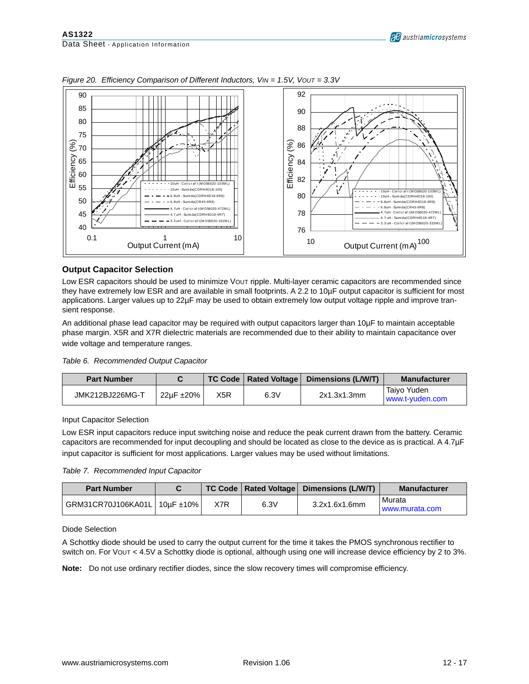

*Figure 20. Efficiency Comparison of Different Inductors, VIN = 1.5V, VOUT = 3.3V*

#### **Output Capacitor Selection**

Low ESR capacitors should be used to minimize VOUT ripple. Multi-layer ceramic capacitors are recommended since they have extremely low ESR and are available in small footprints. A 2.2 to 10µF output capacitor is sufficient for most applications. Larger values up to 22µF may be used to obtain extremely low output voltage ripple and improve transient response.

An additional phase lead capacitor may be required with output capacitors larger than 10µF to maintain acceptable phase margin. X5R and X7R dielectric materials are recommended due to their ability to maintain capacitance over wide voltage and temperature ranges.

| Table 6. Recommended Output Capacitor |  |  |  |  |
|---------------------------------------|--|--|--|--|
|---------------------------------------|--|--|--|--|

| <b>Part Number</b> |                    |     |      | TC Code   Rated Voltage   Dimensions (L/W/T) | <b>Manufacturer</b>            |
|--------------------|--------------------|-----|------|----------------------------------------------|--------------------------------|
| JMK212BJ226MG-T    | $22\mu F \pm 20\%$ | X5R | 6.3V | 2x1.3x1.3mm                                  | Taivo Yuden<br>www.t-vuden.com |

Input Capacitor Selection

Low ESR input capacitors reduce input switching noise and reduce the peak current drawn from the battery. Ceramic capacitors are recommended for input decoupling and should be located as close to the device as is practical. A 4.7µF input capacitor is sufficient for most applications. Larger values may be used without limitations.

*Table 7. Recommended Input Capacitor*

| <b>Part Number</b>             |     |      | TC Code   Rated Voltage   Dimensions (L/W/T) | <b>Manufacturer</b>      |
|--------------------------------|-----|------|----------------------------------------------|--------------------------|
| GRM31CR70J106KA01L   10µF ±10% | X7R | 6.3V | 3.2x1.6x1.6mm                                | Murata<br>www.murata.com |

#### Diode Selection

A Schottky diode should be used to carry the output current for the time it takes the PMOS synchronous rectifier to switch on. For VOUT < 4.5V a Schottky diode is optional, although using one will increase device efficiency by 2 to 3%.

**Note:** Do not use ordinary rectifier diodes, since the slow recovery times will compromise efficiency.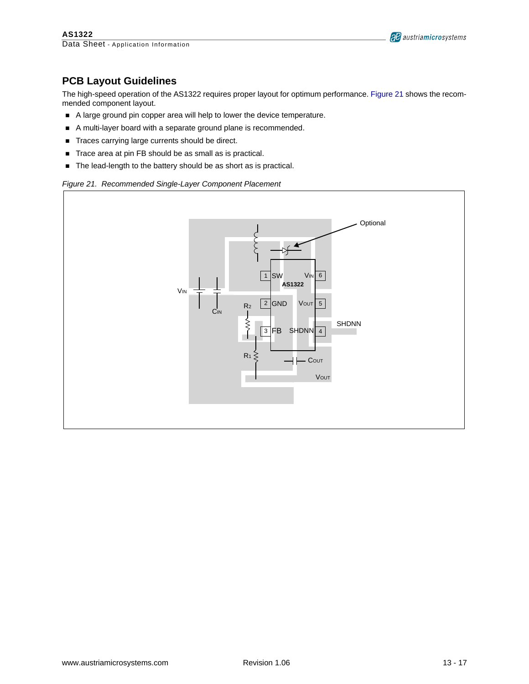

### **PCB Layout Guidelines**

The high-speed operation of the AS1322 requires proper layout for optimum performance. [Figure 21](#page-12-0) shows the recommended component layout.

- ! A large ground pin copper area will help to lower the device temperature.
- A multi-layer board with a separate ground plane is recommended.
- **Traces carrying large currents should be direct.**
- ! Trace area at pin FB should be as small as is practical.
- The lead-length to the battery should be as short as is practical.

#### <span id="page-12-0"></span>*Figure 21. Recommended Single-Layer Component Placement*

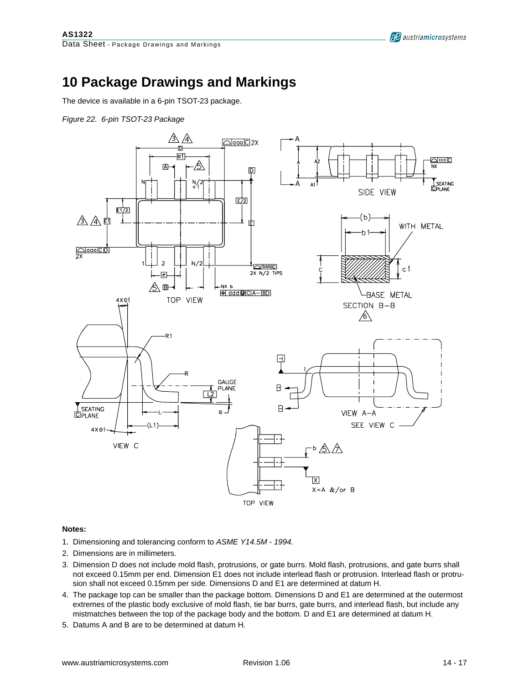# **10 Package Drawings and Markings**

The device is available in a 6-pin TSOT-23 package.

*Figure 22. 6-pin TSOT-23 Package*



#### **Notes:**

- 1. Dimensioning and tolerancing conform to *ASME Y14.5M 1994.*
- 2. Dimensions are in millimeters.
- 3. Dimension D does not include mold flash, protrusions, or gate burrs. Mold flash, protrusions, and gate burrs shall not exceed 0.15mm per end. Dimension E1 does not include interlead flash or protrusion. Interlead flash or protrusion shall not exceed 0.15mm per side. Dimensions D and E1 are determined at datum H.
- 4. The package top can be smaller than the package bottom. Dimensions D and E1 are determined at the outermost extremes of the plastic body exclusive of mold flash, tie bar burrs, gate burrs, and interlead flash, but include any mistmatches between the top of the package body and the bottom. D and E1 are determined at datum H.
- 5. Datums A and B are to be determined at datum H.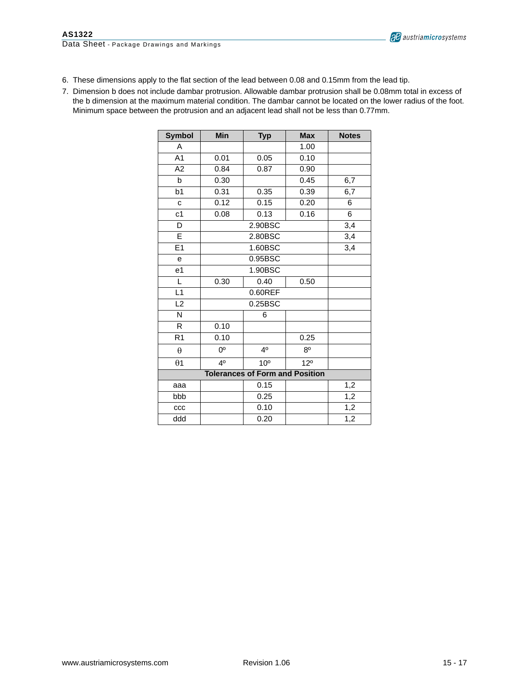

- 6. These dimensions apply to the flat section of the lead between 0.08 and 0.15mm from the lead tip.
- 7. Dimension b does not include dambar protrusion. Allowable dambar protrusion shall be 0.08mm total in excess of the b dimension at the maximum material condition. The dambar cannot be located on the lower radius of the foot. Minimum space between the protrusion and an adjacent lead shall not be less than 0.77mm.

| <b>Symbol</b>                          | Min         | <b>Typ</b>      | <b>Max</b>      | <b>Notes</b> |  |
|----------------------------------------|-------------|-----------------|-----------------|--------------|--|
| A                                      |             |                 | 1.00            |              |  |
| A1                                     | 0.01        | 0.05            | 0.10            |              |  |
| A2                                     | 0.84        | 0.87            | 0.90            |              |  |
| b                                      | 0.30        |                 | 0.45            | 6,7          |  |
| b1                                     | 0.31        | 0.35            | 0.39            | 6,7          |  |
| C                                      | 0.12        | 0.15            | 0.20            | 6            |  |
| c <sub>1</sub>                         | 0.08        | 0.13            | 0.16            | 6            |  |
| D                                      |             | 2.90BSC         |                 | 3,4          |  |
| E                                      |             | 2.80BSC         |                 | 3,4          |  |
| E1                                     |             | 1.60BSC         |                 |              |  |
| е                                      |             |                 |                 |              |  |
| e1                                     |             |                 |                 |              |  |
| L                                      | 0.30        |                 |                 |              |  |
| L1                                     |             | $0.60$ REF      |                 |              |  |
| L2                                     |             | 0.25BSC         |                 |              |  |
| N                                      |             | 6               |                 |              |  |
| R                                      | 0.10        |                 |                 |              |  |
| R <sub>1</sub>                         | 0.10        |                 | 0.25            |              |  |
| $\theta$                               | $0^{\circ}$ | 4 <sup>0</sup>  | $8^{\circ}$     |              |  |
| $\theta$ 1                             | 40          | 10 <sup>o</sup> | 12 <sup>o</sup> |              |  |
| <b>Tolerances of Form and Position</b> |             |                 |                 |              |  |
| aaa                                    |             | 0.15            |                 | 1,2          |  |
| bbb                                    |             | 0.25            |                 | 1,2          |  |
| ccc                                    |             | 0.10            |                 | 1,2          |  |
| ddd                                    |             | 0.20            |                 | 1,2          |  |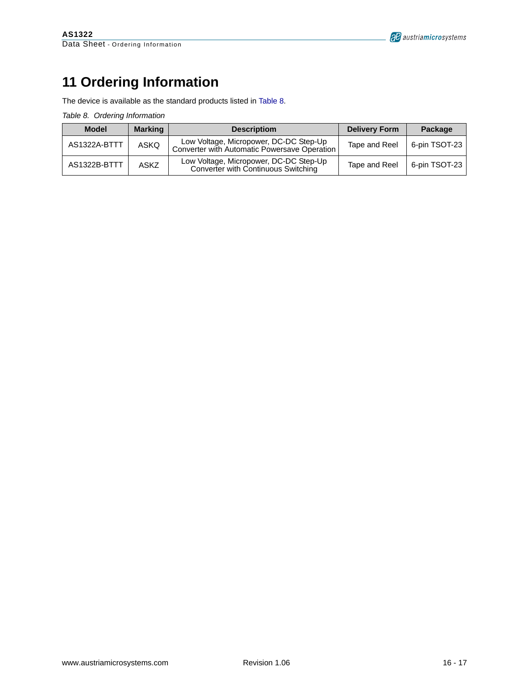# **11 Ordering Information**

The device is available as the standard products listed in [Table 8](#page-15-0).

<span id="page-15-0"></span>*Table 8. Ordering Information*

| <b>Model</b> | <b>Marking</b> | <b>Descriptiom</b>                                                                     | <b>Delivery Form</b> | Package       |
|--------------|----------------|----------------------------------------------------------------------------------------|----------------------|---------------|
| AS1322A-BTTT | ASKO           | Low Voltage, Micropower, DC-DC Step-Up<br>Converter with Automatic Powersave Operation | Tape and Reel        | 6-pin TSOT-23 |
| AS1322B-BTTT | <b>ASKZ</b>    | Low Voltage, Micropower, DC-DC Step-Up<br>Converter with Continuous Switching          | Tape and Reel        | 6-pin TSOT-23 |